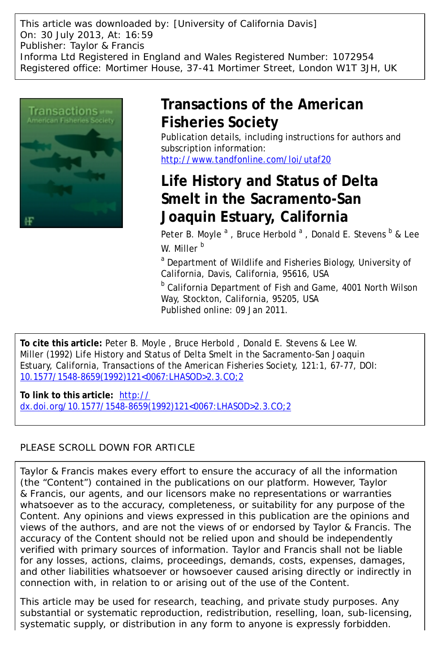This article was downloaded by: [University of California Davis] On: 30 July 2013, At: 16:59 Publisher: Taylor & Francis Informa Ltd Registered in England and Wales Registered Number: 1072954 Registered office: Mortimer House, 37-41 Mortimer Street, London W1T 3JH, UK



# **Transactions of the American Fisheries Society**

Publication details, including instructions for authors and subscription information: <http://www.tandfonline.com/loi/utaf20>

# **Life History and Status of Delta Smelt in the Sacramento-San Joaquin Estuary, California**

Peter B. Moyle <sup>a</sup>, Bruce Herbold <sup>a</sup>, Donald E. Stevens <sup>b</sup> & Lee W. Miller<sup>b</sup>

<sup>a</sup> Department of Wildlife and Fisheries Biology, University of California, Davis, California, 95616, USA

<sup>b</sup> California Department of Fish and Game, 4001 North Wilson Way, Stockton, California, 95205, USA Published online: 09 Jan 2011.

**To cite this article:** Peter B. Moyle , Bruce Herbold , Donald E. Stevens & Lee W. Miller (1992) Life History and Status of Delta Smelt in the Sacramento-San Joaquin Estuary, California, Transactions of the American Fisheries Society, 121:1, 67-77, DOI: [10.1577/1548-8659\(1992\)121<0067:LHASOD>2.3.CO;2](http://www.tandfonline.com/action/showCitFormats?doi=10.1577/1548-8659(1992)121<0067:LHASOD>2.3.CO;2)

**To link to this article:** [http://](http://dx.doi.org/10.1577/1548-8659(1992)121<0067:LHASOD>2.3.CO;2) [dx.doi.org/10.1577/1548-8659\(1992\)121<0067:LHASOD>2.3.CO;2](http://dx.doi.org/10.1577/1548-8659(1992)121<0067:LHASOD>2.3.CO;2)

## PLEASE SCROLL DOWN FOR ARTICLE

Taylor & Francis makes every effort to ensure the accuracy of all the information (the "Content") contained in the publications on our platform. However, Taylor & Francis, our agents, and our licensors make no representations or warranties whatsoever as to the accuracy, completeness, or suitability for any purpose of the Content. Any opinions and views expressed in this publication are the opinions and views of the authors, and are not the views of or endorsed by Taylor & Francis. The accuracy of the Content should not be relied upon and should be independently verified with primary sources of information. Taylor and Francis shall not be liable for any losses, actions, claims, proceedings, demands, costs, expenses, damages, and other liabilities whatsoever or howsoever caused arising directly or indirectly in connection with, in relation to or arising out of the use of the Content.

This article may be used for research, teaching, and private study purposes. Any substantial or systematic reproduction, redistribution, reselling, loan, sub-licensing, systematic supply, or distribution in any form to anyone is expressly forbidden.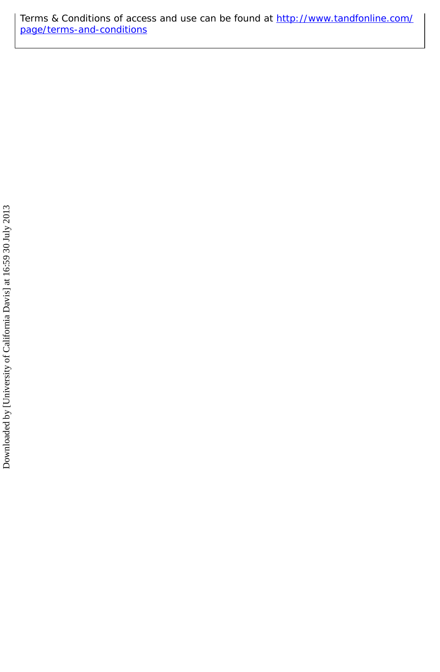Terms & Conditions of access and use can be found at [http://www.tandfonline.com/](http://www.tandfonline.com/page/terms-and-conditions) [page/terms-and-conditions](http://www.tandfonline.com/page/terms-and-conditions)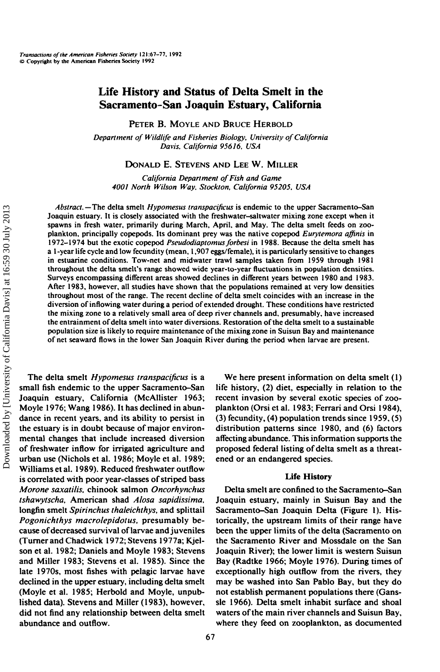## **Life History and Status of Delta Smelt in the Sacramento-San Joaquin Estuary, California**

PETER B. MOYLE AND BRUCE HERBOLD

*Department of Wildlife and Fisheries Biology, University of California Davis. California 956 J6, USA*

DONALD E. STEVENS AND LEE W. MILLER

*California Department of Fish and Game 4001 North Wilson Way. Stockton, California 95205. USA*

*Abstract.—The* delta smelt *Hypomesus transpaciftcus* is endemic to the upper Sacramento-San Joaquin estuary. It is closely associated with the freshwater-saltwater mixing zone except when it spawns in fresh water, primarily during March, April, and May. The delta smelt feeds on zooplankton, principally copepods. Its dominant prey was the native copepod *Eurytemora affinis* in 1972-1974 but the exotic copepod *Pseudodiaptomus forbesi* in 1988. Because the delta smelt has a 1 -year life cycle and low fecundity (mean, 1,907 eggs/female), it is particularly sensitive to changes in estuarine conditions. Tow-net and midwater trawl samples taken from 1959 through 1981 throughout the delta smelt's range showed wide year-to-year fluctuations in population densities. Surveys encompassing different areas showed declines in different years between 1980 and 1983. After 1983, however, all studies have shown that the populations remained at very low densities throughout most of the range. The recent decline of delta smelt coincides with an increase in the diversion of inflowing water during a period of extended drought. These conditions have restricted the mixing zone to a relatively small area of deep river channels and, presumably, have increased the entrainment ofdelta smelt into water diversions. Restoration of the delta smelt to a sustainable population size is likely to require maintenance of the mixing zone in Suisun Bay and maintenance of net seaward flows in the lower San Joaquin River during the period when larvae are present.

The delta smelt *Hypomesus transpacificus* is a small fish endemic to the upper Sacramento-San Joaquin estuary, California (McAHister 1963; Moyle 1976; Wang 1986). It has declined in abundance in recent years, and its ability to persist in the estuary is in doubt because of major environmental changes that include increased diversion of freshwater inflow for irrigated agriculture and urban use (Nichols et al. 1986; Moyle et al. 1989; Williams et al. 1989). Reduced freshwater outflow is correlated with poor year-classes of striped bass *Morone saxatilis.* chinook salmon *Oncorhynchus tshawytscha.* American shad *Alosa sapidissima.* longfin smelt *Spirinchus thaleichthys,* and splittail *Pogonichthys macrolepidotus.* presumably because of decreased survival of larvae and juveniles (Turnerand Chadwick 1972; Stevens 1977a; Kjelson et al. 1982; Daniels and Moyle 1983; Stevens and Miller 1983; Stevens et al. 1985). Since the late 1970s, most fishes with pelagic larvae have declined in the upper estuary, including delta smelt (Moyle et al. 1985; Herbold and Moyle, unpublished data). Stevens and Miller (1983), however, did not find any relationship between delta smelt abundance and outflow.

We here present information on delta smelt (1) life history, (2) diet, especially in relation to the recent invasion by several exotic species of zooplankton (Orsi et al. 1983; Ferrari and Orsi 1984), (3) fecundity, (4) population trends since 1959, (5) distribution patterns since 1980, and (6) factors affecting abundance. This information supports the proposed federal listing of delta smelt as a threatened or an endangered species.

#### **Life History**

Delta smelt are confined to the Sacramento-San Joaquin estuary, mainly in Suisun Bay and the Sacramento-San Joaquin Delta (Figure 1). Historically, the upstream limits of their range have been the upper limits of the delta (Sacramento on the Sacramento River and Mossdale on the San Joaquin River); the lower limit is western Suisun Bay (Radtke 1966; Moyle 1976). During times of exceptionally high outflow from the rivers, they may be washed into San Pablo Bay, but they do not establish permanent populations there (Ganssle 1966). Delta smelt inhabit surface and shoal waters of the main river channels and Suisun Bay, where they feed on zooplankton, as documented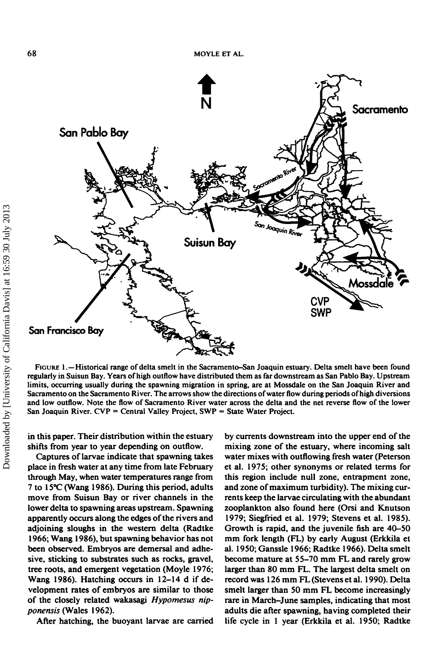

FIGURE 1.—Historical range of delta smelt in the Sacramento-San Joaquin estuary. Delta smelt have been found regularly in Suisun Bay. Years of high outflow have distributed them as far downstream as San Pablo Bay. Upstream limits, occurring usually during the spawning migration in spring, are at Mossdale on the San Joaquin River and Sacramento on the Sacramento River. The arrows show the directions of water flow during periods of high diversions and low outflow. Note the flow of Sacramento River water across the delta and the net reverse flow of the lower San Joaquin River. CVP = Central Valley Project, SWP = State Water Project.

in this paper. Their distribution within the estuary shifts from year to year depending on outflow.

Captures of larvae indicate that spawning takes place in fresh water at any time from late February through May, when water temperatures range from 7 to 15°C (Wang 1986). During this period, adults move from Suisun Bay or river channels in the lower delta to spawning areas upstream. Spawning apparently occurs along the edges of the rivers and adjoining sloughs in the western delta (Radtke 1966; Wang 1986), but spawning behavior has not been observed. Embryos are demersal and adhesive, sticking to substrates such as rocks, gravel, tree roots, and emergent vegetation (Moyle 1976; Wang 1986). Hatching occurs in 12-14 d if development rates of embryos are similar to those of the closely related wakasagi *Hypomesus nipponensis* (Wales 1962).

After hatching, the buoyant larvae are carried

by currents downstream into the upper end of the mixing zone of the estuary, where incoming salt water mixes with outflowing fresh water (Peterson et al. 1975; other synonyms or related terms for this region include null zone, entrapment zone, and zone of maximum turbidity). The mixing currents keep the larvae circulating with the abundant zooplankton also found here (Orsi and Knutson 1979; Siegfried et al. 1979; Stevens et al. 1985). Growth is rapid, and the juvenile fish are 40-50 mm fork length (FL) by early August (Erkkila et al. 1950; Ganssle 1966; Radtke 1966). Delta smelt become mature at 55-70 mm FL and rarely grow larger than 80 mm FL. The largest delta smelt on record was 126 mm FL (Stevens et al. 1990). Delta smelt larger than 50 mm FL become increasingly rare in March-June samples, indicating that most adults die after spawning, having completed their life cycle in 1 year (Erkkila et al. 1950; Radtke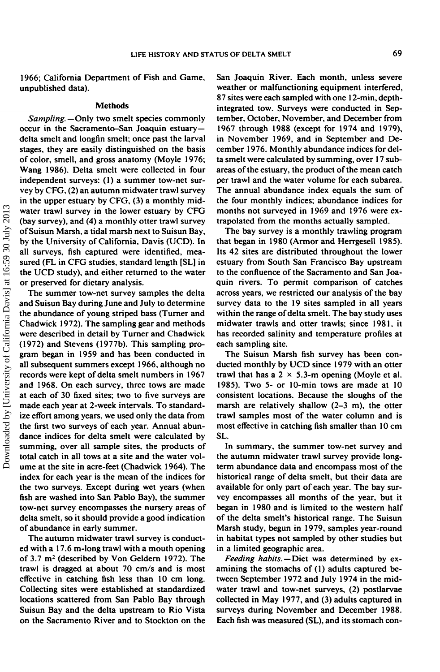1966; California Department of Fish and Game, unpublished data).

#### **Methods**

*Sampling.—Only* two smelt species commonly occur in the Sacramento-San Joaquin estuarydelta smelt and longfin smelt; once past the larval stages, they are easily distinguished on the basis of color, smell, and gross anatomy (Moyle 1976; Wang 1986). Delta smelt were collected in four independent surveys: (1) a summer tow-net survey by CFG, (2) an autumn midwater trawl survey in the upper estuary by CFG, (3) a monthly midwater trawl survey in the lower estuary by CFG (bay survey), and (4) a monthly otter trawl survey of Suisun Marsh, a tidal marsh next to Suisun Bay, by the University of California, Davis (UCD). In all surveys, fish captured were identified, measured (FL in CFG studies, standard length [SL] in the UCD study), and either returned to the water or preserved for dietary analysis.

The summer tow-net survey samples the delta and Suisun Bay during June and July to determine the abundance of young striped bass (Turner and Chadwick 1972). The sampling gear and methods were described in detail by Turner and Chadwick (1972) and Stevens (1977b). This sampling program began in 1959 and has been conducted in all subsequent summers except 1966, although no records were kept of delta smelt numbers in 1967 and 1968. On each survey, three tows are made at each of 30 fixed sites; two to five surveys are made each year at 2-week intervals. To standardize effort among years, we used only the data from the first two surveys of each year. Annual abundance indices for delta smelt were calculated by summing, over all sample sites, the products of total catch in all tows at a site and the water volume at the site in acre-feet (Chadwick 1964). The index for each year is the mean of the indices for the two surveys. Except during wet years (when fish are washed into San Pablo Bay), the summer tow-net survey encompasses the nursery areas of delta smelt, so it should provide a good indication of abundance in early summer.

The autumn midwater trawl survey is conducted with a 17.6 m-long trawl with a mouth opening of 3.7 m<sup>2</sup> (described by Von Geldern 1972). The trawl is dragged at about 70 cm/s and is most effective in catching fish less than 10 cm long. Collecting sites were established at standardized locations scattered from San Pablo Bay through Suisun Bay and the delta upstream to Rio Vista on the Sacramento River and to Stockton on the

San Joaquin River. Each month, unless severe weather or malfunctioning equipment interfered, 87 sites were each sampled with one 12-min, depthintegrated tow. Surveys were conducted in September, October, November, and December from 1967 through 1988 (except for 1974 and 1979), in November 1969, and in September and December 1976. Monthly abundance indices for delta smelt were calculated by summing, over 17 subareas of the estuary, the product of the mean catch per trawl and the water volume for each subarea. The annual abundance index equals the sum of the four monthly indices; abundance indices for months not surveyed in 1969 and 1976 were extrapolated from the months actually sampled.

The bay survey is a monthly trawling program that began in 1980 (Armor and Herrgesell 1985). Its 42 sites are distributed throughout the lower estuary from South San Francisco Bay upstream to the confluence of the Sacramento and San Joaquin rivers. To permit comparison of catches across years, we restricted our analysis of the bay survey data to the 19 sites sampled in all years within the range of delta smelt. The bay study uses midwater trawls and otter trawls; since 1981, it has recorded salinity and temperature profiles at each sampling site.

The Suisun Marsh fish survey has been conducted monthly by UCD since 1979 with an otter trawl that has a  $2 \times 5.3$ -m opening (Moyle et al. 1985). Two 5- or 10-min tows are made at 10 consistent locations. Because the sloughs of the marsh are relatively shallow (2-3 m), the otter trawl samples most of the water column and is most effective in catching fish smaller than 10 cm SL.

In summary, the summer tow-net survey and the autumn midwater trawl survey provide longterm abundance data and encompass most of the historical range of delta smelt, but their data are available for only part of each year. The bay survey encompasses ail months of the year, but it began in 1980 and is limited to the western half of the delta smelt's historical range. The Suisun Marsh study, begun in 1979, samples year-round in habitat types not sampled by other studies but in a limited geographic area.

*Feeding habits.*—Diet was determined by examining the stomachs of (1) adults captured between September 1972 and July 1974 in the midwater trawl and tow-net surveys, (2) postlarvae collected in May 1977, and (3) adults captured in surveys during November and December 1988. Each fish was measured (SL), and its stomach con-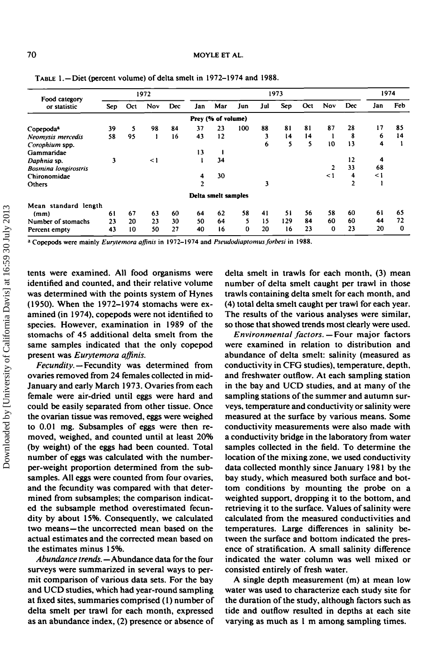| Food category<br>or statistic | 1972 |     |          | 1973 |                |                     |     |     |     | 1974 |          |                |     |     |
|-------------------------------|------|-----|----------|------|----------------|---------------------|-----|-----|-----|------|----------|----------------|-----|-----|
|                               | Sep. | Oct | Nov      | Dec  | Jan            | Mar                 | Jun | Jul | Sep | Oct  | Nov      | Dec            | Jan | Feb |
|                               |      |     |          |      |                | Prey (% of volume)  |     |     |     |      |          |                |     |     |
| Copepoda <sup>a</sup>         | 39   | 5   | 98       | 84   | 37             | 23                  | 100 | 88  | 81  | 81   | 87       | 28             | 17  | 85  |
| Neomysis mercedis             | 58   | 95  |          | 16   | 43             | 12                  |     | 3   | 14  | 14   |          | 8              | 6   | 14  |
| Corophium spp.                |      |     |          |      |                |                     |     | 6   | 5   | 5    | 10       | 13             | 4   |     |
| Gammaridae                    |      |     |          |      | 13             |                     |     |     |     |      |          |                |     |     |
| Daphnia sp.                   | 3    |     | $\leq$ 1 |      |                | 34                  |     |     |     |      |          | 12             | 4   |     |
| <b>Bosmina</b> longirostris   |      |     |          |      |                |                     |     |     |     |      |          | 33             | 68  |     |
| Chironomidae                  |      |     |          |      | 4              | 30                  |     |     |     |      | $\leq$ 1 | 4              | <1  |     |
| Others                        |      |     |          |      | $\overline{2}$ |                     |     | 3   |     |      |          | $\overline{2}$ |     |     |
|                               |      |     |          |      |                | Delta smelt samples |     |     |     |      |          |                |     |     |
| Mean standard length          |      |     |          |      |                |                     |     |     |     |      |          |                |     |     |
| (mm)                          | 61   | 67  | 63       | 60   | 64             | 62                  | 58  | 41  | 51  | 56   | 58       | 60             | 61  | 65  |
| Number of stomachs            | 23   | 20  | 23       | 30   | 50             | 64                  | 5   | 15  | 129 | 84   | 60       | 60             | 44  | 72  |
| Percent empty                 | 43   | 10  | 50       | 27   | 40             | 16                  | 0   | 20  | 16  | 23   | 0        | 23             | 20  | 0   |

TABLE 1.-Diet (percent volume) of delta smelt in 1972-1974 and 1988.

a Copcpods were mainly *Eurytemora affmis* in 1972-1974 and *Pseudodiaptomus forbesi* in 1988.

tents were examined. All food organisms were identified and counted, and their relative volume was determined with the points system of Hynes (1950). When the 1972-1974 stomachs were examined (in 1974), copepods were not identified to species. However, examination in 1989 of the stomachs of 45 additional delta smelt from the same samples indicated that the only copepod present was *Eurytemora affinis.*

*Fecundity. —* Fecundity was determined from ovaries removed from 24 females collected in mid-January and early March 1973. Ovaries from each female were air-dried until eggs were hard and could be easily separated from other tissue. Once the ovarian tissue was removed, eggs were weighed to 0.01 mg. Subsamples of eggs were then removed, weighed, and counted until at least 20% (by weight) of the eggs had been counted. Total number of eggs was calculated with the numberper-weight proportion determined from the subsamples. All eggs were counted from four ovaries, and the fecundity was compared with that determined from subsamples; the comparison indicated the subsample method overestimated fecundity by about 15%. Consequently, we calculated two means—the uncorrected mean based on the actual estimates and the corrected mean based on the estimates minus 15%.

*Abundance trends.* —Abundance data for the four surveys were summarized in several ways to permit comparison of various data sets. For the bay and UCD studies, which had year-round sampling at fixed sites, summaries comprised (1) number of delta smelt per trawl for each month, expressed as an abundance index, (2) presence or absence of delta smelt in trawls for each month, (3) mean number of delta smelt caught per trawl in those trawls containing delta smelt for each month, and (4) total delta smelt caught per trawl for each year. The results of the various analyses were similar, so those that showed trends most clearly were used.

*Environmental factors.—Four* major factors were examined in relation to distribution and abundance of delta smelt: salinity (measured as conductivity in CFG studies), temperature, depth, and freshwater outflow. At each sampling station in the bay and UCD studies, and at many of the sampling stations of the summer and autumn surveys, temperature and conductivity or salinity were measured at the surface by various means. Some conductivity measurements were also made with a conductivity bridge in the laboratory from water samples collected in the field. To determine the location of the mixing zone, we used conductivity data collected monthly since January 1981 by the bay study, which measured both surface and bottom conditions by mounting the probe on a weighted support, dropping it to the bottom, and retrieving it to the surface. Values of salinity were calculated from the measured conductivities and temperatures. Large differences in salinity between the surface and bottom indicated the presence of stratification. A small salinity difference indicated the water column was well mixed or consisted entirely of fresh water.

A single depth measurement (m) at mean low water was used to characterize each study site for the duration of the study, although factors such as tide and outflow resulted in depths at each site varying as much as 1 m among sampling times.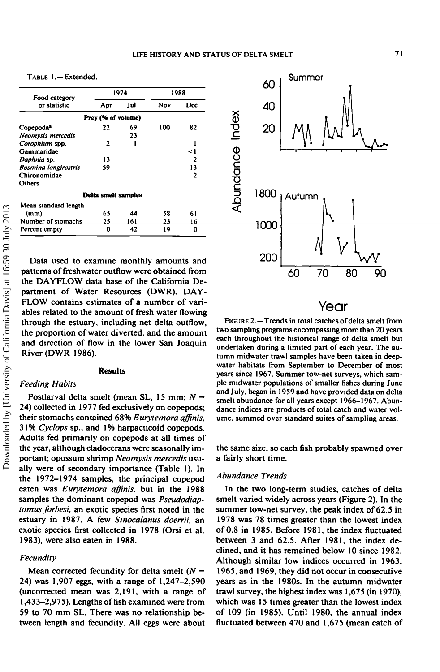TABLE 1.—Extended.

| Food category               |                     | 1974 | 1988 |     |  |
|-----------------------------|---------------------|------|------|-----|--|
| or statistic                | Apr                 | Jul  | Nov  | Dec |  |
|                             | Prey (% of volume)  |      |      |     |  |
| Copepoda <sup>a</sup>       | 22                  | 69   | 100  | 82  |  |
| Neomysis mercedis           |                     | 23   |      |     |  |
| Corophium spp.              | 2                   |      |      |     |  |
| Gammaridae                  |                     |      |      | <1  |  |
| Daphnia sp.                 | 13                  |      |      | 2   |  |
| <b>Bosmina longirostris</b> | 59                  |      |      | 13  |  |
| Chironomidae                |                     |      |      | 2   |  |
| Others                      |                     |      |      |     |  |
|                             | Delta smelt samples |      |      |     |  |
| Mean standard length        |                     |      |      |     |  |
| (mm)                        | 65                  | 44   | 58   | 61  |  |
| Number of stomachs          | 25                  | 161  | 23   | 16  |  |
| Percent empty               | ი                   | 42   | 19   | 0   |  |

Data used to examine monthly amounts and patterns of freshwater outflow were obtained from the DAYFLOW data base of the California Department of Water Resources (DWR). DAY-FLOW contains estimates of a number of variables related to the amount of fresh water flowing through the estuary, including net delta outflow, the proportion of water diverted, and the amount and direction of flow in the lower San Joaquin River (DWR 1986).

## **Results**

## *Feeding Habits*

Postlarval delta smelt (mean SL, 15 mm; *N* = 24) collected in 1977 fed exclusively on copepods; their stomachs contained 68% *Eurytemora affinis.* 31% *Cyclops* sp., and 1% harpacticoid copepods. Adults fed primarily on copepods at all times of the year, although cladocerans were seasonally important; opossum shrimp *Neomysis mercedis* usually were of secondary importance (Table 1). In the 1972-1974 samples, the principal copepod eaten was *Eurytemora affinis.* but in the 1988 samples the dominant copepod was *Pseudodiaptomus forbesi,* an exotic species first noted in the estuary in 1987. A few *Sinocalanus doerrii.* an exotic species first collected in 1978 (Orsi et al. 1983), were also eaten in 1988.

## *Fecundity*

Mean corrected fecundity for delta smelt ( $N =$ 24) was 1,907 eggs, with a range of 1,247-2,590 (uncorrected mean was 2,191, with a range of 1,433–2,975). Lengths of fish examined were from 59 to 70 mm SL. There was no relationship between length and fecundity. All eggs were about



## Year

FIGURE 2.—Trends in total catches of delta smelt from two sampling programs encompassing more than 20 years each throughout the historical range of delta smelt but undertaken during a limited part of each year. The autumn midwater trawl samples have been taken in deepwater habitats from September to December of most years since 1967. Summer tow-net surveys, which sample mid water populations of smaller fishes during June and July, began in 1959 and have provided data on delta smelt abundance for all years except 1966-1967. Abundance indices are products of total catch and water volume, summed over standard suites of sampling areas.

the same size, so each fish probably spawned over a fairly short time.

## *Abundance Trends*

In the two long-term studies, catches of delta smelt varied widely across years (Figure 2). In the summer tow-net survey, the peak index of 62.5 in 1978 was 78 times greater than the lowest index of 0.8 in 1985. Before 1981, the index fluctuated between 3 and 62.5. After 1981, the index declined, and it has remained below 10 since 1982. Although similar low indices occurred in 1963, 1965, and 1969, they did not occur in consecutive years as in the 1980s. In the autumn midwater trawl survey, the highest index was 1,675 (in 1970), which was 15 times greater than the lowest index of 109 (in 1985). Until 1980, the annual index fluctuated between 470 and 1,675 (mean catch of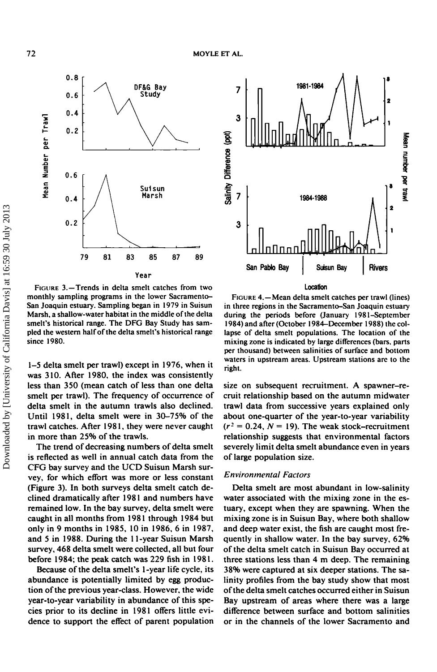

FIGURE 3.—Trends in delta smelt catches from two monthly sampling programs in the lower Sacramento-San Joaquin estuary. Sampling began in 1979 in Suisun Marsh, a shallow-water habitat in the middle of the delta smelt's historical range. The DFG Bay Study has sampled the western half of the delta smelt's historical range since 1980.

1-5 delta smelt per trawl) except in 1976, when it was 310. After 1980, the index was consistently less than 350 (mean catch of less than one delta smelt per trawl). The frequency of occurrence of delta smelt in the autumn trawls also declined. Until 1981, delta smelt were in 30-75% of the trawl catches. After 1981, they were never caught in more than 25% of the trawls.

The trend of decreasing numbers of delta smelt is reflected as well in annual catch data from the CFG bay survey and the UCD Suisun Marsh survey, for which effort was more or less constant (Figure 3). In both surveys delta smelt catch declined dramatically after 1981 and numbers have remained low. In the bay survey, delta smelt were caught in all months from 1981 through 1984 but only in 9 months in 1985, 10 in 1986, 6 in 1987, and 5 in 1988. During the 11-year Suisun Marsh survey, 468 delta smelt were collected, all but four before 1984; the peak catch was 229 fish in 1981.

Because of the delta smelt's 1-year life cycle, its abundance is potentially limited by egg production of the previous year-class. However, the wide year-to-year variability in abundance of this species prior to its decline in 1981 offers little evidence to support the effect of parent population



FIGURE 4.—Mean delta smelt catches per trawl (lines) in three regions in the Sacramento-San Joaquin estuary during the periods before (January 1981-September 1984) and after (October 1984-December 1988) the collapse of delta smelt populations. The location of the mixing zone is indicated by large differences (bars, parts per thousand) between salinities of surface and bottom waters in upstream areas. Upstream stations are to the right.

size on subsequent recruitment. A spawner-recruit relationship based on the autumn midwater trawl data from successive years explained only about one-quarter of the year-to-year variability  $(r^2 = 0.24, N = 19)$ . The weak stock-recruitment relationship suggests that environmental factors severely limit delta smelt abundance even in years of large population size.

## *Environmental Factors*

Delta smelt are most abundant in low-salinity water associated with the mixing zone in the estuary, except when they are spawning. When the mixing zone is in Suisun Bay, where both shallow and deep water exist, the fish are caught most frequently in shallow water. In the bay survey, 62% of the delta smelt catch in Suisun Bay occurred at three stations less than 4 m deep. The remaining 38% were captured at six deeper stations. The salinity profiles from the bay study show that most of the delta smelt catches occurred either in Suisun Bay upstream of areas where there was a large difference between surface and bottom salinities or in the channels of the lower Sacramento and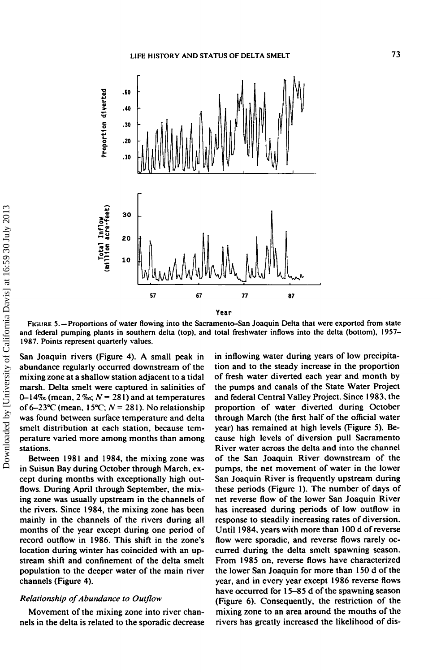

Year

FIGURE 5. —Proportions of water flowing into the Sacramento-San Joaquin Delta that were exported from state and federal pumping plants in southern delta (top), and total freshwater inflows into the delta (bottom), 1957- 1987. Points represent quarterly values.

San Joaquin rivers (Figure 4). A small peak in abundance regularly occurred downstream of the mixing zone at a shallow station adjacent to a tidal marsh. Delta smelt were captured in salinities of 0-14% (mean,  $2\%$ ;  $N = 281$ ) and at temperatures of  $6-23$ °C (mean,  $15$ °C;  $N = 281$ ). No relationship was found between surface temperature and delta smelt distribution at each station, because temperature varied more among months than among stations.

Between 1981 and 1984, the mixing zone was in Suisun Bay during October through March, except during months with exceptionally high outflows. During April through September, the mixing zone was usually upstream in the channels of the rivers. Since 1984, the mixing zone has been mainly in the channels of the rivers during all months of the year except during one period of record outflow in 1986. This shift in the zone's location during winter has coincided with an upstream shift and confinement of the delta smelt population to the deeper water of the main river channels (Figure 4).

## *Relationship of Abundance to Outflow*

Movement of the mixing zone into river channels in the delta is related to the sporadic decrease in inflowing water during years of low precipitation and to the steady increase in the proportion of fresh water diverted each year and month by the pumps and canals of the State Water Project and federal Central Valley Project. Since 1983, the proportion of water diverted during October through March (the first half of the official water year) has remained at high levels (Figure 5). Because high levels of diversion pull Sacramento River water across the delta and into the channel of the San Joaquin River downstream of the pumps, the net movement of water in the lower San Joaquin River is frequently upstream during these periods (Figure 1). The number of days of net reverse flow of the lower San Joaquin River has increased during periods of low outflow in response to steadily increasing rates of diversion. Until 1984, years with more than 100 d of reverse flow were sporadic, and reverse flows rarely occurred during the delta smelt spawning season. From 1985 on, reverse flows have characterized the lower San Joaquin for more than 150 d of the year, and in every year except 1986 reverse flows have occurred for 15-85 d of the spawning season (Figure 6). Consequently, the restriction of the mixing zone to an area around the mouths of the rivers has greatly increased the likelihood of dis-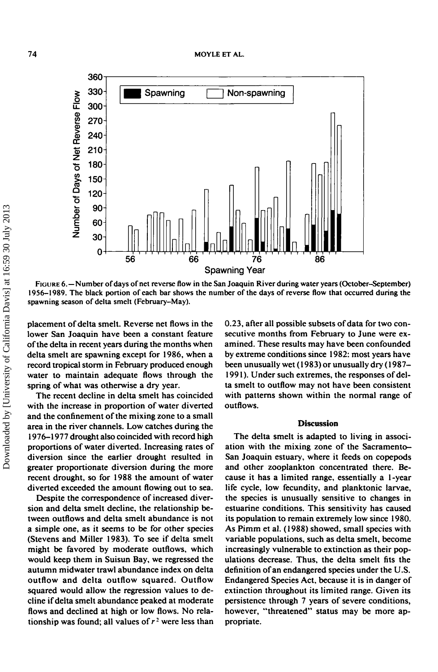

FIGURE 6.—Number of days of net reverse flow in the San Joaquin River during water years (October-September) 1956-1989. The black portion of each bar shows the number of the days of reverse flow that occurred during the spawning season of delta smelt (February-May).

placement of delta smelt. Reverse net flows in the lower San Joaquin have been a constant feature of the delta in recent years during the months when delta smelt are spawning except for 1986, when a record tropical storm in February produced enough water to maintain adequate flows through the spring of what was otherwise a dry year.

The recent decline in delta smelt has coincided with the increase in proportion of water diverted and the confinement of the mixing zone to a small area in the river channels. Low catches during the 1976-1977 drought also coincided with record high proportions of water diverted. Increasing rates of diversion since the earlier drought resulted in greater proportionate diversion during the more recent drought, so for 1988 the amount of water diverted exceeded the amount flowing out to sea.

Despite the correspondence of increased diversion and delta smelt decline, the relationship between outflows and delta smelt abundance is not a simple one, as it seems to be for other species (Stevens and Miller 1983). To see if delta smelt might be favored by moderate outflows, which would keep them in Suisun Bay, we regressed the autumn midwater trawl abundance index on delta outflow and delta outflow squared. Outflow squared would allow the regression values to decline if delta smelt abundance peaked at moderate flows and declined at high or low flows. No relationship was found; all values of  $r^2$  were less than

0.23, after all possible subsets of data for two consecutive months from February to June were examined. These results may have been confounded by extreme conditions since 1982: most years have been unusually wet (1983) or unusually dry (1987- 1991). Under such extremes, the responses of delta smelt to outflow may not have been consistent with patterns shown within the normal range of outflows.

### **Discussion**

The delta smelt is adapted to living in association with the mixing zone of the Sacramento-San Joaquin estuary, where it feeds on copepods and other zooplankton concentrated there. Because it has a limited range, essentially a 1-year life cycle, low fecundity, and planktonic larvae, the species is unusually sensitive to changes in estuarine conditions. This sensitivity has caused its population to remain extremely low since 1980. As Pimm et al. (1988) showed, small species with variable populations, such as delta smelt, become increasingly vulnerable to extinction as their populations decrease. Thus, the delta smelt fits the definition of an endangered species under the U.S. Endangered Species Act, because it is in danger of extinction throughout its limited range. Given its persistence through 7 years of severe conditions, however, "threatened" status may be more appropriate.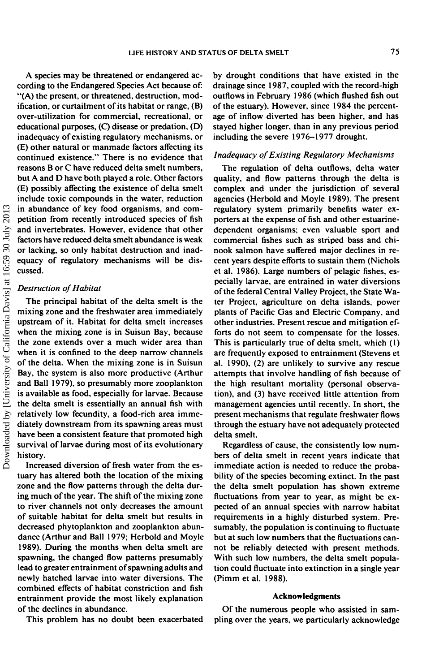A species may be threatened or endangered according to the Endangered Species Act because of: "(A) the present, or threatened, destruction, modification, or curtailment of its habitat or range, (B) over-utilization for commercial, recreational, or educational purposes, (Q disease or predation, (D) inadequacy of existing regulatory mechanisms, or (E) other natural or manmade factors affecting its continued existence." There is no evidence that reasons B or C have reduced delta smelt numbers, but A and D have both played a role. Other factors (E) possibly affecting the existence of delta smelt include toxic compounds in the water, reduction in abundance of key food organisms, and competition from recently introduced species of fish and invertebrates. However, evidence that other factors have reduced delta smelt abundance is weak or lacking, so only habitat destruction and inadequacy of regulatory mechanisms will be discussed.

## *Destruction of Habitat*

The principal habitat of the delta smelt is the mixing zone and the freshwater area immediately upstream of it. Habitat for delta smelt increases when the mixing zone is in Suisun Bay, because the zone extends over a much wider area than when it is confined to the deep narrow channels of the delta. When the mixing zone is in Suisun Bay, the system is also more productive (Arthur and Ball 1979), so presumably more zooplankton is available as food, especially for larvae. Because the delta smelt is essentially an annual fish with relatively low fecundity, a food-rich area immediately downstream from its spawning areas must have been a consistent feature that promoted high survival of larvae during most of its evolutionary history.

Increased diversion of fresh water from the estuary has altered both the location of the mixing zone and the flow patterns through the delta during much of the year. The shift of the mixing zone to river channels not only decreases the amount of suitable habitat for delta smelt but results in decreased phytoplankton and zooplankton abundance (Arthur and Ball 1979; Herbold and Moyle 1989). During the months when delta smelt are spawning, the changed flow patterns presumably lead to greater entrainment of spawning adults and newly hatched larvae into water diversions. The combined effects of habitat constriction and fish entrainment provide the most likely explanation of the declines in abundance.

This problem has no doubt been exacerbated

by drought conditions that have existed in the drainage since 1987, coupled with the record-high outflows in February 1986 (which flushed fish out of the estuary). However, since 1984 the percentage of inflow diverted has been higher, and has stayed higher longer, than in any previous period including the severe 1976-1977 drought.

## *Inadequacy of Existing Regulatory Mechanisms*

The regulation of delta outflows, delta water quality, and flow patterns through the delta is complex and under the jurisdiction of several agencies (Herbold and Moyle 1989). The present regulatory system primarily benefits water exporters at the expense of fish and other estuarinedependent organisms; even valuable sport and commercial fishes such as striped bass and chinook salmon have suffered major declines in recent years despite efforts to sustain them (Nichols et al. 1986). Large numbers of pelagic fishes, especially larvae, are entrained in water diversions of the federal Central Valley Project, the State Water Project, agriculture on delta islands, power plants of Pacific Gas and Electric Company, and other industries. Present rescue and mitigation efforts do not seem to compensate for the losses. This is particularly true of delta smelt, which (1) are frequently exposed to entrainment (Stevens et al. 1990), (2) are unlikely to survive any rescue attempts that involve handling of fish because of the high resultant mortality (personal observation), and (3) have received little attention from management agencies until recently. In short, the present mechanisms that regulate freshwater flows through the estuary have not adequately protected delta smelt.

Regardless of cause, the consistently low numbers of delta smelt in recent years indicate that immediate action is needed to reduce the probability of the species becoming extinct. In the past the delta smelt population has shown extreme fluctuations from year to year, as might be expected of an annual species with narrow habitat requirements in a highly disturbed system. Presumably, the population is continuing to fluctuate but at such low numbers that the fluctuations cannot be reliably detected with present methods. With such low numbers, the delta smelt population could fluctuate into extinction in a single year (Pimmetal. 1988).

## **Acknowledgments**

Of the numerous people who assisted in sampling over the years, we particularly acknowledge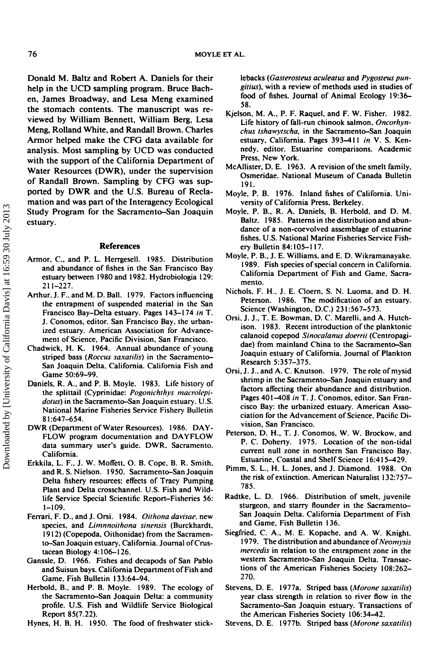Donald M. Baltz and Robert A. Daniels for their help in the UCD sampling program. Bruce Bachen, James Broadway, and Lesa Meng examined the stomach contents. The manuscript was reviewed by William Bennett, William Berg, Lesa Meng, Rolland White, and Randall Brown. Charles Armor helped make the CFG data available for analysis. Most sampling by UCD was conducted with the support of the California Department of Water Resources (DWR), under the supervision of Randall Brown. Sampling by CFG was supported by DWR and the U.S. Bureau of Reclamation and was part of the Interagency Ecological Study Program for the Sacramento-San Joaquin estuary.

## **References**

- Armor, C, and P. L. Herrgesell. 1985. Distribution and abundance of fishes in the San Francisco Bay estuary between 1980 and 1982. Hydrobiologia 129: 211-227.
- Arthur, J. F., and M. D. Ball. 1979. Factors influencing the entrapment of suspended material in the San Francisco Bay-Delta estuary. Pages 143-174 *in* T. J. Conomos, editor. San Francisco Bay, the urbanized estuary. American Association for Advancement of Science, Pacific Division, San Francisco.
- Chadwick, H. K. 1964. Annual abundance of young striped bass *(Roccus saxatilis)* in the Sacramento-San Joaquin Delta, California. California Fish and Game 50:69-99.
- Daniels, R. A., and P. B. Moyle. 1983. Life history of the splitiail (Cyprinidae: *Pogonichthys macrolepidotus)* in the Sacramento-San Joaquin estuary. U.S. National Marine Fisheries Service Fishery Bulletin 81:647-654.
- DWR (Department of Water Resources). 1986. DAY-FLOW program documentation and DAYFLOW data summary user's guide. DWR, Sacramento, California.
- Erkkila, L. F., J. W. Moffett, O. B. Cope, B. R. Smith, and R. S. Nielson. 1950. Sacramento-San Joaquin Delta fishery resources: effects of Tracy Pumping Plant and Delta crosschannel. U.S. Fish and Wildlife Service Special Scientific Report-Fisheries 56: 1-109.
- Ferrari, F. D., and J. Orsi. 1984. *Oithona davisac.* new species, and *Limnnoithona sinensis* (Burckhardt, 1912) (Copepoda, Oithonidae) from the Sacramento-San Joaquin estuary, California. Journal of Crustacean Biology 4:106-126.
- Ganssle, D. 1966. Fishes and decapods of San Pablo and Suisun bays. California Department of Fish and Game, Fish Bulletin 133:64-94.
- Herbold, B., and P. B. Moyle. 1989. The ecology of the Sacramento-San Joaquin Delta: a community profile. U.S. Fish and Wildlife Service Biological Report 85(7.22).
- Hynes, H. B. H. 1950. The food of freshwater stick-

lebacks *(Gasterosteus aculeatus* and *Pygosteus pungitius),* with a review of methods used in studies of food of fishes. Journal of Animal Ecology 19:36- 58.

- Kjelson, M. A., P. F. Raquel, and F. W. Fisher. 1982. Life history of fall-run chinook salmon, *Oncorhynchus tshawytscha,* in the Sacramento-San Joaquin estuary, California. Pages 393-411 *in* V. S. Kennedy, editor. Estuarine comparisons. Academic Press, New York.
- McAllister, D. E. 1963. A revision of the smelt family, Osmeridae. National Museum of Canada Bulletin 191.
- Moyle, P. B. 1976. Inland fishes of California. University of California Press, Berkeley.
- Moyle, P. B., R. A. Daniels, B. Herbold, and D. M. Baltz. 1985. Patterns in the distribution and abundance of a non-coevolved assemblage of cstuarine fishes. U.S. National Marine Fisheries Service Fishery Bulletin 84:105-117.
- Moyle, P. B., J. E. Williams, and E. D. Wikramanayake. 1989. Fish species of special concern in California. California Department of Fish and Game, Sacramento.
- Nichols. F. H., J. E. Cloern. S. N. Luoma, and D. H. Peterson. 1986. The modification of an estuary. Science (Washington, D.C.) 231:567-573.
- Orsi, J. J., T. E. Bowman, D. C. Marelli. and A. Hutchison. 1983. Recent introduction of the planktonic calanoid copepod *Sinocalanus doerrii* (Centropagidae) from mainland China to the Sacramento-San Joaquin estuary of California. Journal of Plankton Research 5:357-375.
- Orsi, J. J., and A. C. Knutson. 1979. The role of mysid shrimp in the Sacramento-San Joaquin estuary and factors affecting their abundance and distribution. Pages 401-408 *in* T. J. Conomos, editor. San Francisco Bay: the urbanized estuary. American Association for the Advancement of Science, Pacific Division, San Francisco.
- Peterson, D. H., T. J. Conomos, W. W. Brockow, and P. C. Doherty. 1975. Location of the non-tidal current null zone in northern San Francisco Bay. Estuarine, Coastal and Shelf Science 16:415-429.
- Pimm, S. L., H. L. Jones, and J. Diamond. 1988. On the risk of extinction. American Naturalist 132:757- 785.
- Radtke, L. D. 1966. Distribution of smelt, juvenile sturgeon, and starry flounder in the Sacramento-San Joaquin Delta. California Department of Fish and Game, Fish Bulletin 136.
- Siegfried, C. A., M. E. Kopache, and A. W. Knight. 1979. The distribution and abundance of Neomysis *mercedis* in relation to the entrapment zone in the western Sacramento-San Joaquin Delta. Transactions of the American Fisheries Society 108:262- 270.
- Stevens, D. E. 1977a. Striped bass *(Morone saxatilis)* year class strength in relation to river flow in the Sacramento-San Joaquin estuary. Transactions of the American Fisheries Society 106:34-42.
- Stevens, D. E. 1977b. Striped bass *(Morone saxatilis)*